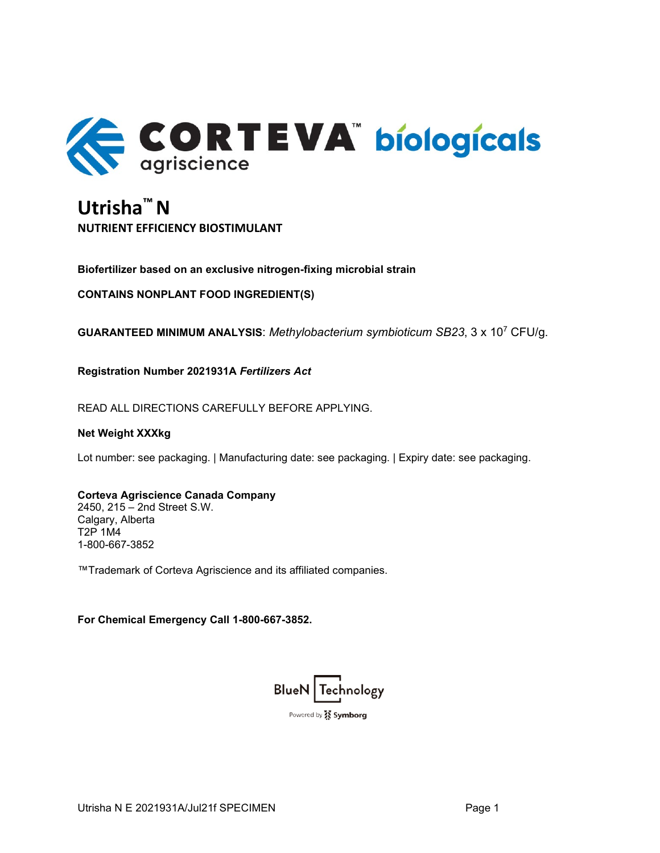

# **Utrisha™ N NUTRIENT EFFICIENCY BIOSTIMULANT**

**Biofertilizer based on an exclusive nitrogen-fixing microbial strain**

**CONTAINS NONPLANT FOOD INGREDIENT(S)**

**GUARANTEED MINIMUM ANALYSIS**: *Methylobacterium symbioticum SB23*, 3 x 107 CFU/g.

**Registration Number 2021931A** *Fertilizers Act*

READ ALL DIRECTIONS CAREFULLY BEFORE APPLYING.

#### **Net Weight XXXkg**

Lot number: see packaging. | Manufacturing date: see packaging. | Expiry date: see packaging.

# **Corteva Agriscience Canada Company**

2450, 215 – 2nd Street S.W. Calgary, Alberta T2P 1M4 1-800-667-3852

™Trademark of Corteva Agriscience and its affiliated companies.

**For Chemical Emergency Call 1-800-667-3852.** 

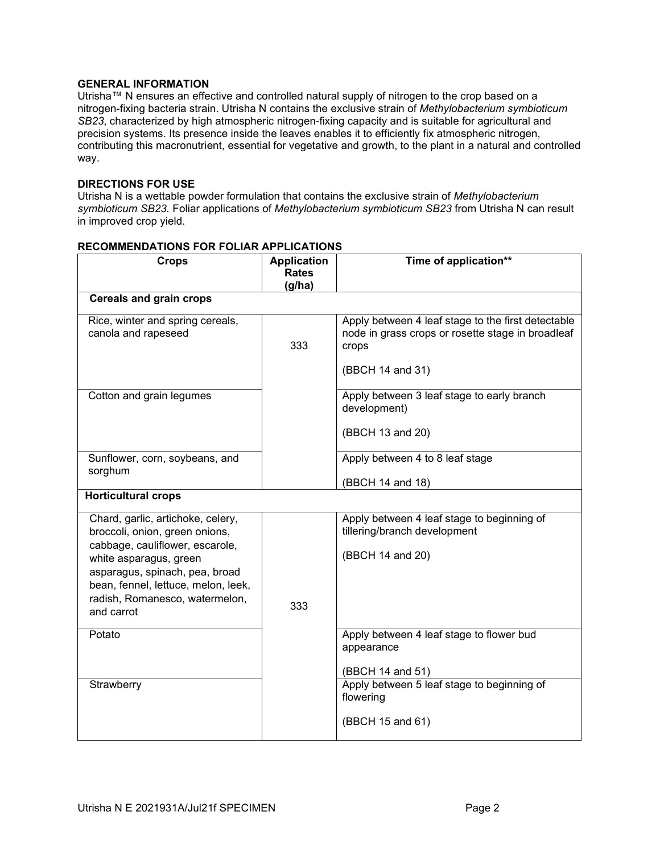# **GENERAL INFORMATION**

Utrisha™ N ensures an effective and controlled natural supply of nitrogen to the crop based on a nitrogen-fixing bacteria strain. Utrisha N contains the exclusive strain of *Methylobacterium symbioticum SB23*, characterized by high atmospheric nitrogen-fixing capacity and is suitable for agricultural and precision systems. Its presence inside the leaves enables it to efficiently fix atmospheric nitrogen, contributing this macronutrient, essential for vegetative and growth, to the plant in a natural and controlled way.

# **DIRECTIONS FOR USE**

Utrisha N is a wettable powder formulation that contains the exclusive strain of *Methylobacterium symbioticum SB23.* Foliar applications of *Methylobacterium symbioticum SB23* from Utrisha N can result in improved crop yield.

| <b>Crops</b>                                                                                                                                                                                                                                              | <b>Application</b><br><b>Rates</b><br>(g/ha) | Time of application**                                                                                                                |  |
|-----------------------------------------------------------------------------------------------------------------------------------------------------------------------------------------------------------------------------------------------------------|----------------------------------------------|--------------------------------------------------------------------------------------------------------------------------------------|--|
| <b>Cereals and grain crops</b>                                                                                                                                                                                                                            |                                              |                                                                                                                                      |  |
| Rice, winter and spring cereals,<br>canola and rapeseed                                                                                                                                                                                                   | 333                                          | Apply between 4 leaf stage to the first detectable<br>node in grass crops or rosette stage in broadleaf<br>crops<br>(BBCH 14 and 31) |  |
| Cotton and grain legumes                                                                                                                                                                                                                                  |                                              | Apply between 3 leaf stage to early branch<br>development)<br>(BBCH 13 and 20)                                                       |  |
| Sunflower, corn, soybeans, and<br>sorghum                                                                                                                                                                                                                 |                                              | Apply between 4 to 8 leaf stage<br>(BBCH 14 and 18)                                                                                  |  |
| <b>Horticultural crops</b>                                                                                                                                                                                                                                |                                              |                                                                                                                                      |  |
| Chard, garlic, artichoke, celery,<br>broccoli, onion, green onions,<br>cabbage, cauliflower, escarole,<br>white asparagus, green<br>asparagus, spinach, pea, broad<br>bean, fennel, lettuce, melon, leek,<br>radish, Romanesco, watermelon,<br>and carrot | 333                                          | Apply between 4 leaf stage to beginning of<br>tillering/branch development<br>(BBCH 14 and 20)                                       |  |
| Potato<br>Strawberry                                                                                                                                                                                                                                      |                                              | Apply between 4 leaf stage to flower bud<br>appearance<br>(BBCH 14 and 51)<br>Apply between 5 leaf stage to beginning of             |  |
|                                                                                                                                                                                                                                                           |                                              | flowering<br>(BBCH 15 and 61)                                                                                                        |  |

## **RECOMMENDATIONS FOR FOLIAR APPLICATIONS**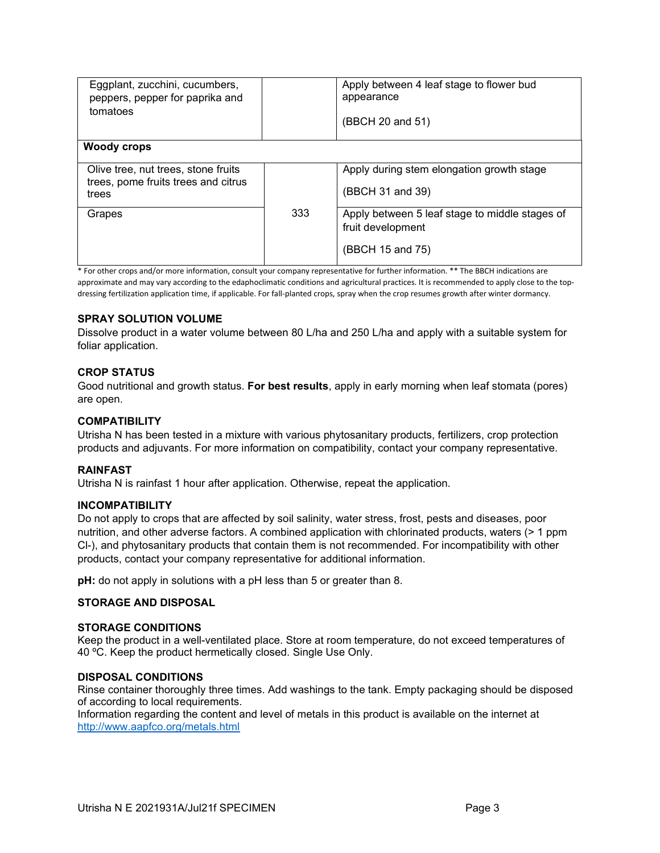| Eggplant, zucchini, cucumbers,<br>peppers, pepper for paprika and<br>tomatoes       |     | Apply between 4 leaf stage to flower bud<br>appearance<br>(BBCH 20 and 51)              |
|-------------------------------------------------------------------------------------|-----|-----------------------------------------------------------------------------------------|
| <b>Woody crops</b>                                                                  |     |                                                                                         |
| Olive tree, nut trees, stone fruits<br>trees, pome fruits trees and citrus<br>trees |     | Apply during stem elongation growth stage<br>(BBCH 31 and 39)                           |
| Grapes                                                                              | 333 | Apply between 5 leaf stage to middle stages of<br>fruit development<br>(BBCH 15 and 75) |

\* For other crops and/or more information, consult your company representative for further information. \*\* The BBCH indications are approximate and may vary according to the edaphoclimatic conditions and agricultural practices. It is recommended to apply close to the topdressing fertilization application time, if applicable. For fall-planted crops, spray when the crop resumes growth after winter dormancy.

# **SPRAY SOLUTION VOLUME**

Dissolve product in a water volume between 80 L/ha and 250 L/ha and apply with a suitable system for foliar application.

#### **CROP STATUS**

Good nutritional and growth status. **For best results**, apply in early morning when leaf stomata (pores) are open.

#### **COMPATIBILITY**

Utrisha N has been tested in a mixture with various phytosanitary products, fertilizers, crop protection products and adjuvants. For more information on compatibility, contact your company representative.

#### **RAINFAST**

Utrisha N is rainfast 1 hour after application. Otherwise, repeat the application.

#### **INCOMPATIBILITY**

Do not apply to crops that are affected by soil salinity, water stress, frost, pests and diseases, poor nutrition, and other adverse factors. A combined application with chlorinated products, waters (> 1 ppm Cl-), and phytosanitary products that contain them is not recommended. For incompatibility with other products, contact your company representative for additional information.

**pH:** do not apply in solutions with a pH less than 5 or greater than 8.

#### **STORAGE AND DISPOSAL**

#### **STORAGE CONDITIONS**

Keep the product in a well-ventilated place. Store at room temperature, do not exceed temperatures of 40 ºC. Keep the product hermetically closed. Single Use Only.

#### **DISPOSAL CONDITIONS**

Rinse container thoroughly three times. Add washings to the tank. Empty packaging should be disposed of according to local requirements.

Information regarding the content and level of metals in this product is available on the internet at <http://www.aapfco.org/metals.html>